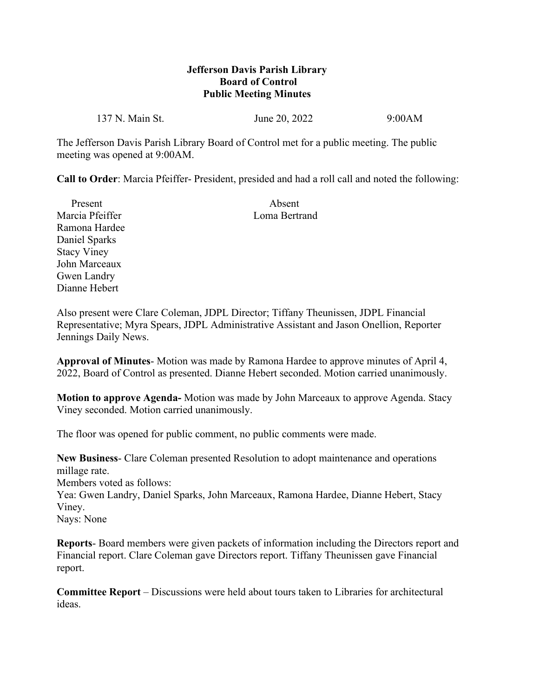## **Jefferson Davis Parish Library Board of Control Public Meeting Minutes**

137 N. Main St. **June 20, 2022** 9:00 AM

The Jefferson Davis Parish Library Board of Control met for a public meeting. The public meeting was opened at 9:00AM.

**Call to Order**: Marcia Pfeiffer- President, presided and had a roll call and noted the following:

| Present            | Absent        |
|--------------------|---------------|
| Marcia Pfeiffer    | Loma Bertrand |
| Ramona Hardee      |               |
| Daniel Sparks      |               |
| <b>Stacy Viney</b> |               |
| John Marceaux      |               |
| Gwen Landry        |               |
| Dianne Hebert      |               |

Also present were Clare Coleman, JDPL Director; Tiffany Theunissen, JDPL Financial Representative; Myra Spears, JDPL Administrative Assistant and Jason Onellion, Reporter Jennings Daily News.

**Approval of Minutes**- Motion was made by Ramona Hardee to approve minutes of April 4, 2022, Board of Control as presented. Dianne Hebert seconded. Motion carried unanimously.

**Motion to approve Agenda-** Motion was made by John Marceaux to approve Agenda. Stacy Viney seconded. Motion carried unanimously.

The floor was opened for public comment, no public comments were made.

**New Business**- Clare Coleman presented Resolution to adopt maintenance and operations millage rate. Members voted as follows: Yea: Gwen Landry, Daniel Sparks, John Marceaux, Ramona Hardee, Dianne Hebert, Stacy Viney. Nays: None

**Reports**- Board members were given packets of information including the Directors report and Financial report. Clare Coleman gave Directors report. Tiffany Theunissen gave Financial report.

**Committee Report** – Discussions were held about tours taken to Libraries for architectural ideas.